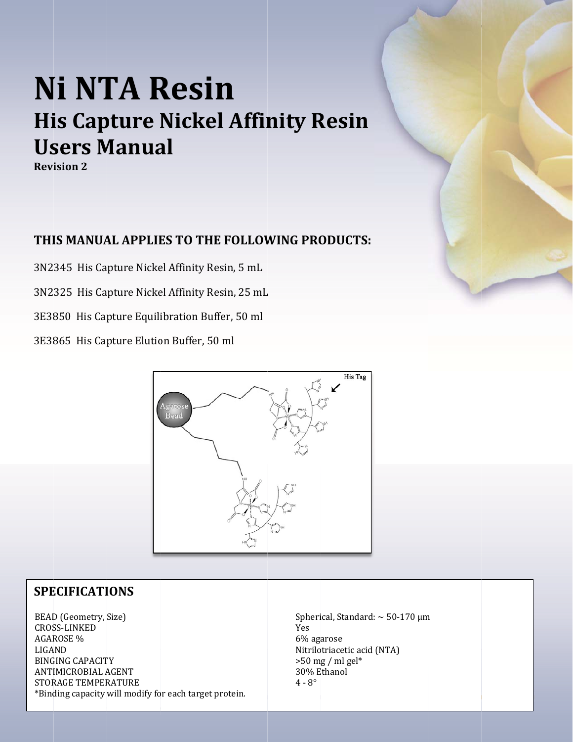# **Ni NTA Resin His Capture Nickel Affinity Resin Users Manual**

**Revision 2** 

## THIS MANUAL APPLIES TO THE FOLLOWING PRODUCTS:

3N2345 His Capture Nickel Affinity Resin, 5 mL

3N2325 His Capture Nickel Affinity Resin, 25 mL

3E3850 His Capture Equilibration Buffer, 50 ml

3E3865 His Capture Elution Buffer, 50 ml



### **SPECIFICATIONS**

BEAD (Geometry, Size) **CROSS-LINKED AGAROSE %** LIGAND **BINGING CAPACITY ANTIMICROBIAL AGENT STORAGE TEMPERATURE** \*Binding capacity will modify for each target protein. Spherical, Standard:  $\sim$  50-170 µm Yes 6% agarose Nitrilotriacetic acid (NTA)  $>50$  mg / ml gel\* 30% Ethanol  $4 - 8^{\circ}$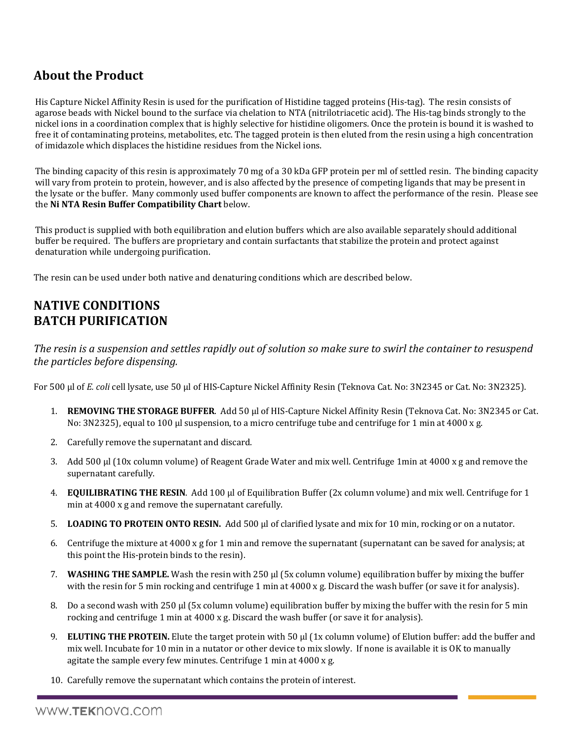# **About the Product**

His Capture Nickel Affinity Resin is used for the purification of Histidine tagged proteins (His-tag). The resin consists of agarose beads with Nickel bound to the surface via chelation to NTA (nitrilotriacetic acid). The His-tag binds strongly to the nickel ions in a coordination complex that is highly selective for histidine oligomers. Once the protein is bound it is washed to free it of contaminating proteins, metabolites, etc. The tagged protein is then eluted from the resin using a high concentration of imidazole which displaces the histidine residues from the Nickel ions.

The binding capacity of this resin is approximately 70 mg of a 30 kDa GFP protein per ml of settled resin. The binding capacity will vary from protein to protein, however, and is also affected by the presence of competing ligands that may be present in the lysate or the buffer. Many commonly used buffer components are known to affect the performance of the resin. Please see the **Ni NTA Resin Buffer Compatibility Chart** below. 

This product is supplied with both equilibration and elution buffers which are also available separately should additional buffer be required. The buffers are proprietary and contain surfactants that stabilize the protein and protect against denaturation while undergoing purification.

The resin can be used under both native and denaturing conditions which are described below.

## **NATIVE CONDITIONS BATCH PURIFICATION**

The resin is a suspension and settles rapidly out of solution so make sure to swirl the container to resuspend *the particles before dispensing.*

For 500 μl of *E. coli* cell lysate, use 50 μl of HIS-Capture Nickel Affinity Resin (Teknova Cat. No: 3N2345 or Cat. No: 3N2325).

- 1. **REMOVING THE STORAGE BUFFER.** Add 50 µl of HIS-Capture Nickel Affinity Resin (Teknova Cat. No: 3N2345 or Cat. No: 3N2325), equal to 100 µl suspension, to a micro centrifuge tube and centrifuge for 1 min at 4000 x g.
- 2. Carefully remove the supernatant and discard.
- 3. Add 500 µl (10x column volume) of Reagent Grade Water and mix well. Centrifuge 1min at 4000 x g and remove the supernatant carefully.
- 4. **EQUILIBRATING THE RESIN**. Add 100 μl of Equilibration Buffer (2x column volume) and mix well. Centrifuge for 1 min at  $4000 \times g$  and remove the supernatant carefully.
- 5. LOADING TO PROTEIN ONTO RESIN. Add 500 µl of clarified lysate and mix for 10 min, rocking or on a nutator.
- 6. Centrifuge the mixture at  $4000 \times g$  for 1 min and remove the supernatant (supernatant can be saved for analysis; at this point the His-protein binds to the resin).
- 7. **WASHING THE SAMPLE.** Wash the resin with 250 µl (5x column volume) equilibration buffer by mixing the buffer with the resin for 5 min rocking and centrifuge 1 min at  $4000 \times g$ . Discard the wash buffer (or save it for analysis).
- 8. Do a second wash with 250 µl (5x column volume) equilibration buffer by mixing the buffer with the resin for 5 min rocking and centrifuge 1 min at  $4000 \times g$ . Discard the wash buffer (or save it for analysis).
- 9. **ELUTING THE PROTEIN.** Elute the target protein with 50 μl (1x column volume) of Elution buffer: add the buffer and mix well. Incubate for 10 min in a nutator or other device to mix slowly. If none is available it is OK to manually agitate the sample every few minutes. Centrifuge 1 min at  $4000 \times g$ .
- 10. Carefully remove the supernatant which contains the protein of interest.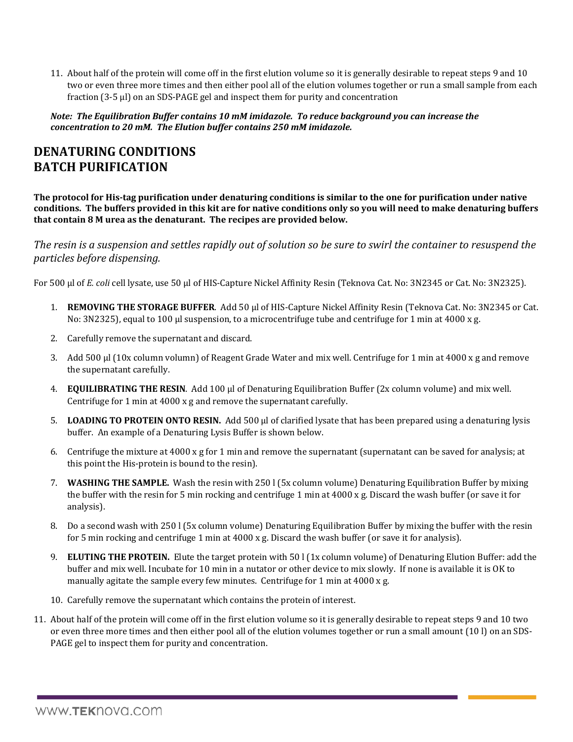11. About half of the protein will come off in the first elution volume so it is generally desirable to repeat steps 9 and 10 two or even three more times and then either pool all of the elution volumes together or run a small sample from each fraction (3-5 µl) on an SDS-PAGE gel and inspect them for purity and concentration

*Note: The Equilibration Buffer contains 10 mM imidazole. To reduce background you can increase the concentration to 20 mM. The Elution buffer contains 250 mM imidazole.*

## **DENATURING CONDITIONS BATCH PURIFICATION**

The protocol for His-tag purification under denaturing conditions is similar to the one for purification under native conditions. The buffers provided in this kit are for native conditions only so you will need to make denaturing buffers **that contain 8 M urea as the denaturant. The recipes are provided below.**

The resin is a suspension and settles rapidly out of solution so be sure to swirl the container to resuspend the *particles before dispensing.*

For 500 μl of *E. coli* cell lysate, use 50 μl of HIS-Capture Nickel Affinity Resin (Teknova Cat. No: 3N2345 or Cat. No: 3N2325).

- 1. **REMOVING THE STORAGE BUFFER**. Add 50 µl of HIS-Capture Nickel Affinity Resin (Teknova Cat. No: 3N2345 or Cat. No: 3N2325), equal to 100 µl suspension, to a microcentrifuge tube and centrifuge for 1 min at 4000 x g.
- 2. Carefully remove the supernatant and discard.
- 3. Add 500 µl (10x column volumn) of Reagent Grade Water and mix well. Centrifuge for 1 min at 4000 x g and remove the supernatant carefully.
- 4. **EQUILIBRATING THE RESIN**. Add 100 μl of Denaturing Equilibration Buffer (2x column volume) and mix well. Centrifuge for 1 min at  $4000 \times g$  and remove the supernatant carefully.
- **5. LOADING TO PROTEIN ONTO RESIN.** Add 500 μl of clarified lysate that has been prepared using a denaturing lysis buffer. An example of a Denaturing Lysis Buffer is shown below.
- 6. Centrifuge the mixture at  $4000 \times g$  for 1 min and remove the supernatant (supernatant can be saved for analysis; at this point the His-protein is bound to the resin).
- 7. **WASHING THE SAMPLE.** Wash the resin with 250 l (5x column volume) Denaturing Equilibration Buffer by mixing the buffer with the resin for 5 min rocking and centrifuge 1 min at  $4000 \times g$ . Discard the wash buffer (or save it for analysis).
- 8. Do a second wash with 250 l (5x column volume) Denaturing Equilibration Buffer by mixing the buffer with the resin for 5 min rocking and centrifuge 1 min at  $4000 \times g$ . Discard the wash buffer (or save it for analysis).
- 9. **ELUTING THE PROTEIN.** Elute the target protein with 50 l (1x column volume) of Denaturing Elution Buffer: add the buffer and mix well. Incubate for 10 min in a nutator or other device to mix slowly. If none is available it is OK to manually agitate the sample every few minutes. Centrifuge for 1 min at 4000 x g.
- 10. Carefully remove the supernatant which contains the protein of interest.
- 11. About half of the protein will come off in the first elution volume so it is generally desirable to repeat steps 9 and 10 two or even three more times and then either pool all of the elution volumes together or run a small amount (10 l) on an SDS-PAGE gel to inspect them for purity and concentration.